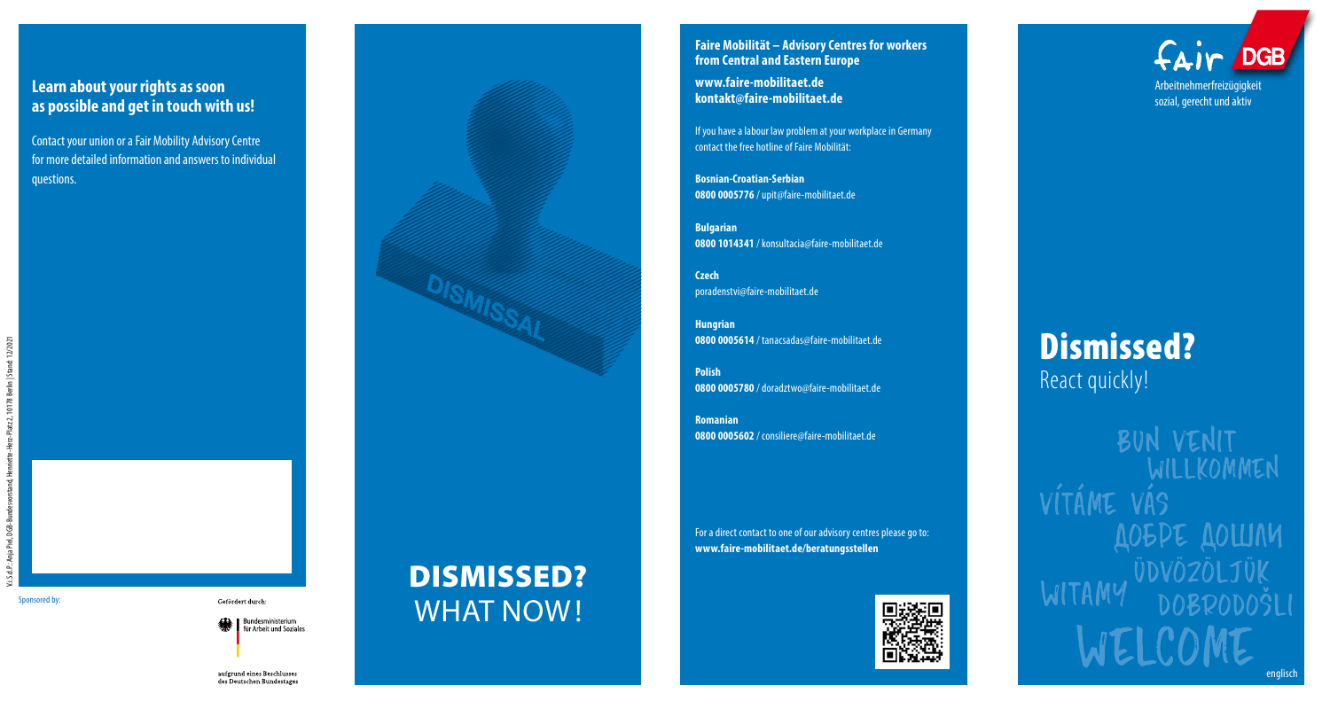# **Learn about your rights as soon as possible and get in touch with us!**

Contact your union or a Fair Mobility Advisory Centre for more detailed information and answers to individual questions.





DISMISSED?

#### **Faire Mobilität – Advisory Centres for workers from Central and Eastern Europe**

**www.faire-mobilitaet.de kontakt@faire-mobilitaet.de**

If you have a labour law problem at your workplace in Germany contact the free hotline of Faire Mobilität:

**Bosnian-Croatian-Serbian 0800 0005776** / upit@faire-mobilitaet.de

**Bulgarian 0800 1014341** / konsultacia@faire-mobilitaet.de

**Czech** poradenstvi@faire-mobilitaet.de

**Hungrian 0800 0005614** / tanacsadas@faire-mobilitaet.de

**Polish 0800 0005780** / doradztwo@faire-mobilitaet.de

**Romanian 0800 0005602** / consiliere@faire-mobilitaet.de

For a direct contact to one of our advisory centres please go to: **www.faire-mobilitaet.de/beratungsstellen** 



fair DGB Arbeitnehmerfreizügigkeit sozial, gerecht und aktiv

# Dismissed? React quickly!

BUN VENIT VÍTÁME VÁS **MUDIOS TOPS** 

 $\mathcal{S}_{\text{ponsored by:}}$  cefördert durch:  $\blacksquare$